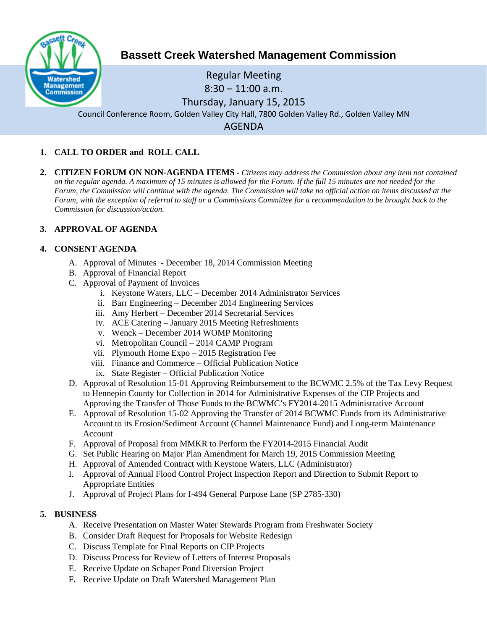

# **Bassett Creek Watershed Management Commission**

# Regular Meeting  $8:30 - 11:00$  a.m. Thursday, January 15, 2015 Council Conference Room, Golden Valley City Hall, 7800 Golden Valley Rd., Golden Valley MN AGENDA

# **1. CALL TO ORDER and ROLL CALL**

**2. CITIZEN FORUM ON NON-AGENDA ITEMS -** *Citizens may address the Commission about any item not contained on the regular agenda. A maximum of 15 minutes is allowed for the Forum. If the full 15 minutes are not needed for the Forum, the Commission will continue with the agenda. The Commission will take no official action on items discussed at the Forum, with the exception of referral to staff or a Commissions Committee for a recommendation to be brought back to the Commission for discussion/action.*

#### **3. APPROVAL OF AGENDA**

#### **4. CONSENT AGENDA**

- A. Approval of Minutes December 18, 2014 Commission Meeting
- B. Approval of Financial Report
- C. Approval of Payment of Invoices
	- i. Keystone Waters, LLC December 2014 Administrator Services
	- ii. Barr Engineering December 2014 Engineering Services
	- iii. Amy Herbert December 2014 Secretarial Services
	- iv. ACE Catering January 2015 Meeting Refreshments
	- v. Wenck December 2014 WOMP Monitoring
	- vi. Metropolitan Council 2014 CAMP Program
	- vii. Plymouth Home Expo 2015 Registration Fee
	- viii. Finance and Commerce Official Publication Notice
	- ix. State Register Official Publication Notice
- D. Approval of Resolution 15-01 Approving Reimbursement to the BCWMC 2.5% of the Tax Levy Request to Hennepin County for Collection in 2014 for Administrative Expenses of the CIP Projects and Approving the Transfer of Those Funds to the BCWMC's FY2014-2015 Administrative Account
- E. Approval of Resolution 15-02 Approving the Transfer of 2014 BCWMC Funds from its Administrative Account to its Erosion/Sediment Account (Channel Maintenance Fund) and Long-term Maintenance Account
- F. Approval of Proposal from MMKR to Perform the FY2014-2015 Financial Audit
- G. Set Public Hearing on Major Plan Amendment for March 19, 2015 Commission Meeting
- H. Approval of Amended Contract with Keystone Waters, LLC (Administrator)
- I. Approval of Annual Flood Control Project Inspection Report and Direction to Submit Report to Appropriate Entities
- J. Approval of Project Plans for I-494 General Purpose Lane (SP 2785-330)

## **5. BUSINESS**

- A. Receive Presentation on Master Water Stewards Program from Freshwater Society
- B. Consider Draft Request for Proposals for Website Redesign
- C. Discuss Template for Final Reports on CIP Projects
- D. Discuss Process for Review of Letters of Interest Proposals
- E. Receive Update on Schaper Pond Diversion Project
- F. Receive Update on Draft Watershed Management Plan